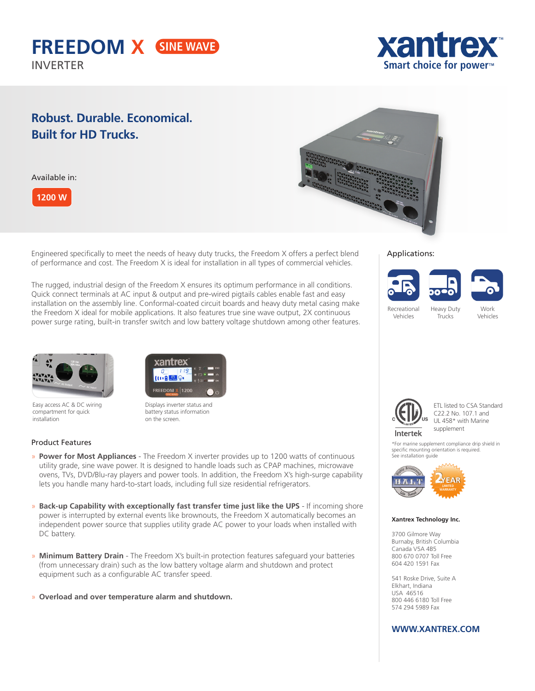



## **Robust. Durable. Economical. Built for HD Trucks.**

Available in:



Engineered specifically to meet the needs of heavy duty trucks, the Freedom X offers a perfect blend of performance and cost. The Freedom X is ideal for installation in all types of commercial vehicles.

The rugged, industrial design of the Freedom X ensures its optimum performance in all conditions. Quick connect terminals at AC input & output and pre-wired pigtails cables enable fast and easy installation on the assembly line. Conformal-coated circuit boards and heavy duty metal casing make the Freedom X ideal for mobile applications. It also features true sine wave output, 2X continuous power surge rating, built-in transfer switch and low battery voltage shutdown among other features.



#### Applications:





Recreational Vehicles

Trucks





Easy access AC & DC wiring compartment for quick installation



Displays inverter status and battery status information on the screen.

## Product Features



- » **Power for Most Appliances** The Freedom X inverter provides up to 1200 watts of continuous utility grade, sine wave power. It is designed to handle loads such as CPAP machines, microwave ovens, TVs, DVD/Blu-ray players and power tools. In addition, the Freedom X's high-surge capability lets you handle many hard-to-start loads, including full size residential refrigerators.
- » **Back-up Capability with exceptionally fast transfer time just like the UPS** If incoming shore power is interrupted by external events like brownouts, the Freedom X automatically becomes an independent power source that supplies utility grade AC power to your loads when installed with DC battery.
- » **Minimum Battery Drain** The Freedom X's built-in protection features safeguard your batteries (from unnecessary drain) such as the low battery voltage alarm and shutdown and protect equipment such as a configurable AC transfer speed.
- » **Overload and over temperature alarm and shutdown.**



ETL listed to CSA Standard C22.2 No. 107.1 and UL 458\* with Marine supplement

\*For marine supplement compliance drip shield in specific mounting orientation is required. See installation guide



#### **Xantrex Technology Inc.**

3700 Gilmore Way Burnaby, British Columbia Canada V5A 4B5 800 670 0707 Toll Free 604 420 1591 Fax

541 Roske Drive, Suite A Elkhart, Indiana USA 46516 800 446 6180 Toll Free 574 294 5989 Fax

## **WWW.XANTREX.COM**